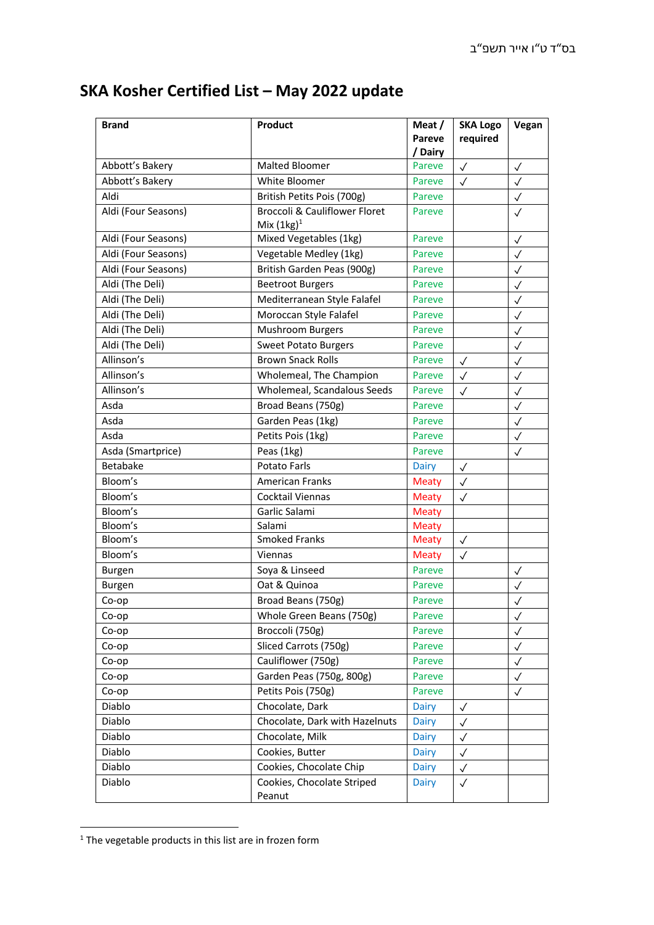## **SKA Kosher Certified List – May 2022 update**

| <b>Brand</b>        | Product                                                   | Meat /<br><b>Pareve</b><br>/ Dairy | <b>SKA Logo</b><br>required | Vegan        |
|---------------------|-----------------------------------------------------------|------------------------------------|-----------------------------|--------------|
| Abbott's Bakery     | <b>Malted Bloomer</b>                                     | Pareve                             | $\checkmark$                | $\checkmark$ |
| Abbott's Bakery     | White Bloomer                                             | Pareve                             | $\checkmark$                | $\checkmark$ |
| Aldi                | British Petits Pois (700g)                                | Pareve                             |                             | $\checkmark$ |
| Aldi (Four Seasons) | <b>Broccoli &amp; Cauliflower Floret</b><br>Mix $(1kg)^1$ | Pareve                             |                             | $\checkmark$ |
| Aldi (Four Seasons) | Mixed Vegetables (1kg)                                    | <b>Pareve</b>                      |                             | $\checkmark$ |
| Aldi (Four Seasons) | Vegetable Medley (1kg)                                    | Pareve                             |                             | $\checkmark$ |
| Aldi (Four Seasons) | British Garden Peas (900g)                                | Pareve                             |                             | $\checkmark$ |
| Aldi (The Deli)     | <b>Beetroot Burgers</b>                                   | Pareve                             |                             | $\checkmark$ |
| Aldi (The Deli)     | Mediterranean Style Falafel                               | Pareve                             |                             | $\checkmark$ |
| Aldi (The Deli)     | Moroccan Style Falafel                                    | Pareve                             |                             | $\checkmark$ |
| Aldi (The Deli)     | Mushroom Burgers                                          | Pareve                             |                             | $\checkmark$ |
| Aldi (The Deli)     | <b>Sweet Potato Burgers</b>                               | Pareve                             |                             | $\checkmark$ |
| Allinson's          | <b>Brown Snack Rolls</b>                                  | Pareve                             | $\checkmark$                | $\checkmark$ |
| Allinson's          | Wholemeal, The Champion                                   | Pareve                             | $\checkmark$                | $\checkmark$ |
| Allinson's          | Wholemeal, Scandalous Seeds                               | Pareve                             | $\checkmark$                | $\checkmark$ |
| Asda                | Broad Beans (750g)                                        | Pareve                             |                             | $\checkmark$ |
| Asda                | Garden Peas (1kg)                                         | Pareve                             |                             | $\checkmark$ |
| Asda                | Petits Pois (1kg)                                         | Pareve                             |                             | $\checkmark$ |
| Asda (Smartprice)   | Peas (1kg)                                                | Pareve                             |                             | $\checkmark$ |
| <b>Betabake</b>     | Potato Farls                                              | Dairy                              | $\checkmark$                |              |
| Bloom's             | <b>American Franks</b>                                    | <b>Meaty</b>                       | $\checkmark$                |              |
| Bloom's             | Cocktail Viennas                                          | <b>Meaty</b>                       | $\checkmark$                |              |
| Bloom's             | Garlic Salami                                             | <b>Meaty</b>                       |                             |              |
| Bloom's             | Salami                                                    | <b>Meaty</b>                       |                             |              |
| Bloom's             | <b>Smoked Franks</b>                                      | <b>Meaty</b>                       | $\checkmark$                |              |
| Bloom's             | Viennas                                                   | <b>Meaty</b>                       | $\checkmark$                |              |
| Burgen              | Soya & Linseed                                            | Pareve                             |                             | $\checkmark$ |
| Burgen              | Oat & Quinoa                                              | Pareve                             |                             |              |
| Co-op               | Broad Beans (750g)                                        | Pareve                             |                             | $\checkmark$ |
| Co-op               | Whole Green Beans (750g)                                  | Pareve                             |                             | $\checkmark$ |
| Co-op               | Broccoli (750g)                                           | Pareve                             |                             | $\checkmark$ |
| Co-op               | Sliced Carrots (750g)                                     | Pareve                             |                             | $\checkmark$ |
| Co-op               | Cauliflower (750g)                                        | Pareve                             |                             | $\checkmark$ |
| Co-op               | Garden Peas (750g, 800g)                                  | Pareve                             |                             | $\checkmark$ |
| Co-op               | Petits Pois (750g)                                        | Pareve                             |                             | ✓            |
| Diablo              | Chocolate, Dark                                           | <b>Dairy</b>                       | $\checkmark$                |              |
| Diablo              | Chocolate, Dark with Hazelnuts                            | Dairy                              | $\checkmark$                |              |
| Diablo              | Chocolate, Milk                                           | Dairy                              | $\checkmark$                |              |
| Diablo              | Cookies, Butter                                           | Dairy                              | $\checkmark$                |              |
| Diablo              | Cookies, Chocolate Chip                                   | Dairy                              | $\checkmark$                |              |
| Diablo              | Cookies, Chocolate Striped<br>Peanut                      | Dairy                              | $\checkmark$                |              |

 $1$  The vegetable products in this list are in frozen form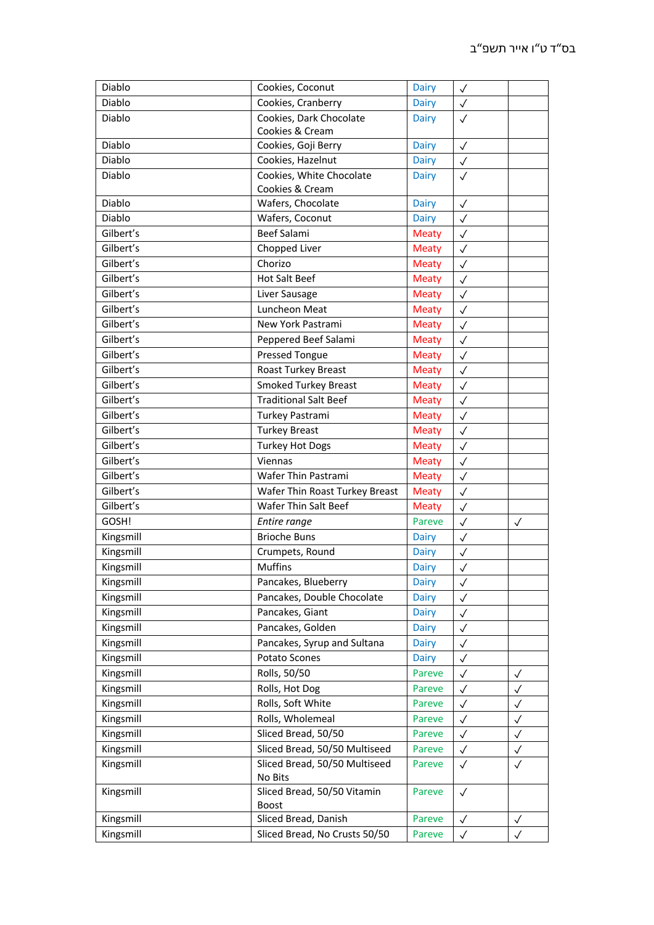| Diablo    | Cookies, Coconut                         | <b>Dairy</b>                 | $\checkmark$ |              |
|-----------|------------------------------------------|------------------------------|--------------|--------------|
| Diablo    | Cookies, Cranberry                       | <b>Dairy</b>                 | $\checkmark$ |              |
| Diablo    | Cookies, Dark Chocolate                  | <b>Dairy</b>                 | $\checkmark$ |              |
|           | Cookies & Cream                          |                              |              |              |
| Diablo    | Cookies, Goji Berry                      | Dairy                        | $\checkmark$ |              |
| Diablo    | Cookies, Hazelnut                        | <b>Dairy</b>                 | $\checkmark$ |              |
| Diablo    | Cookies, White Chocolate                 | Dairy                        | $\checkmark$ |              |
|           | Cookies & Cream                          |                              |              |              |
| Diablo    | Wafers, Chocolate                        | Dairy                        | $\checkmark$ |              |
| Diablo    | Wafers, Coconut                          | <b>Dairy</b>                 | $\checkmark$ |              |
| Gilbert's | <b>Beef Salami</b>                       | <b>Meaty</b>                 | $\checkmark$ |              |
| Gilbert's | Chopped Liver                            | <b>Meaty</b>                 | $\checkmark$ |              |
| Gilbert's | Chorizo                                  | <b>Meaty</b>                 | $\checkmark$ |              |
| Gilbert's | Hot Salt Beef                            | Meaty                        | $\checkmark$ |              |
| Gilbert's | Liver Sausage                            | <b>Meaty</b>                 | $\checkmark$ |              |
| Gilbert's | Luncheon Meat                            | <b>Meaty</b>                 | $\checkmark$ |              |
| Gilbert's | New York Pastrami                        | <b>Meaty</b>                 | $\checkmark$ |              |
| Gilbert's | Peppered Beef Salami                     | <b>Meaty</b>                 | $\checkmark$ |              |
| Gilbert's | <b>Pressed Tongue</b>                    | <b>Meaty</b>                 | $\checkmark$ |              |
| Gilbert's | Roast Turkey Breast                      | <b>Meaty</b>                 | $\checkmark$ |              |
| Gilbert's | <b>Smoked Turkey Breast</b>              | <b>Meaty</b>                 | $\checkmark$ |              |
| Gilbert's | <b>Traditional Salt Beef</b>             | <b>Meaty</b>                 | $\checkmark$ |              |
| Gilbert's | Turkey Pastrami                          | <b>Meaty</b>                 | $\checkmark$ |              |
| Gilbert's | <b>Turkey Breast</b>                     | <b>Meaty</b>                 | $\checkmark$ |              |
| Gilbert's | <b>Turkey Hot Dogs</b>                   | <b>Meaty</b>                 | $\checkmark$ |              |
| Gilbert's | Viennas                                  | <b>Meaty</b>                 | $\checkmark$ |              |
| Gilbert's | Wafer Thin Pastrami                      | <b>Meaty</b>                 | $\checkmark$ |              |
| Gilbert's | Wafer Thin Roast Turkey Breast           | <b>Meaty</b>                 | $\checkmark$ |              |
| Gilbert's | Wafer Thin Salt Beef                     | Meaty                        | $\checkmark$ |              |
| GOSH!     | Entire range                             | Pareve                       | $\checkmark$ | $\checkmark$ |
| Kingsmill | <b>Brioche Buns</b>                      |                              |              |              |
| Kingsmill | Crumpets, Round                          | <b>Dairy</b><br><b>Dairy</b> | $\checkmark$ |              |
| Kingsmill | <b>Muffins</b>                           |                              | $\checkmark$ |              |
|           |                                          | <b>Dairy</b>                 | $\checkmark$ |              |
| Kingsmill | Pancakes, Blueberry                      | Dairy                        | $\checkmark$ |              |
| Kingsmill | Pancakes, Double Chocolate               | <b>Dairy</b>                 | $\checkmark$ |              |
| Kingsmill | Pancakes, Giant                          | Dairy                        | $\checkmark$ |              |
| Kingsmill | Pancakes, Golden                         | Dairy                        | $\checkmark$ |              |
| Kingsmill | Pancakes, Syrup and Sultana              | Dairy                        | $\checkmark$ |              |
| Kingsmill | Potato Scones                            | Dairy                        | $\checkmark$ |              |
| Kingsmill | Rolls, 50/50                             | Pareve                       | $\checkmark$ | $\checkmark$ |
| Kingsmill | Rolls, Hot Dog                           | Pareve                       | $\checkmark$ | $\checkmark$ |
| Kingsmill | Rolls, Soft White                        | Pareve                       | $\checkmark$ | $\checkmark$ |
| Kingsmill | Rolls, Wholemeal                         | Pareve                       | $\checkmark$ | $\checkmark$ |
| Kingsmill | Sliced Bread, 50/50                      | Pareve                       | $\checkmark$ | $\checkmark$ |
| Kingsmill | Sliced Bread, 50/50 Multiseed            | Pareve                       | $\checkmark$ | $\checkmark$ |
| Kingsmill | Sliced Bread, 50/50 Multiseed<br>No Bits | Pareve                       | $\checkmark$ | $\checkmark$ |
| Kingsmill | Sliced Bread, 50/50 Vitamin              | Pareve                       | $\checkmark$ |              |
|           | <b>Boost</b><br>Sliced Bread, Danish     |                              |              |              |
| Kingsmill |                                          | Pareve                       | $\checkmark$ | $\checkmark$ |
| Kingsmill | Sliced Bread, No Crusts 50/50            | Pareve                       | $\checkmark$ | $\checkmark$ |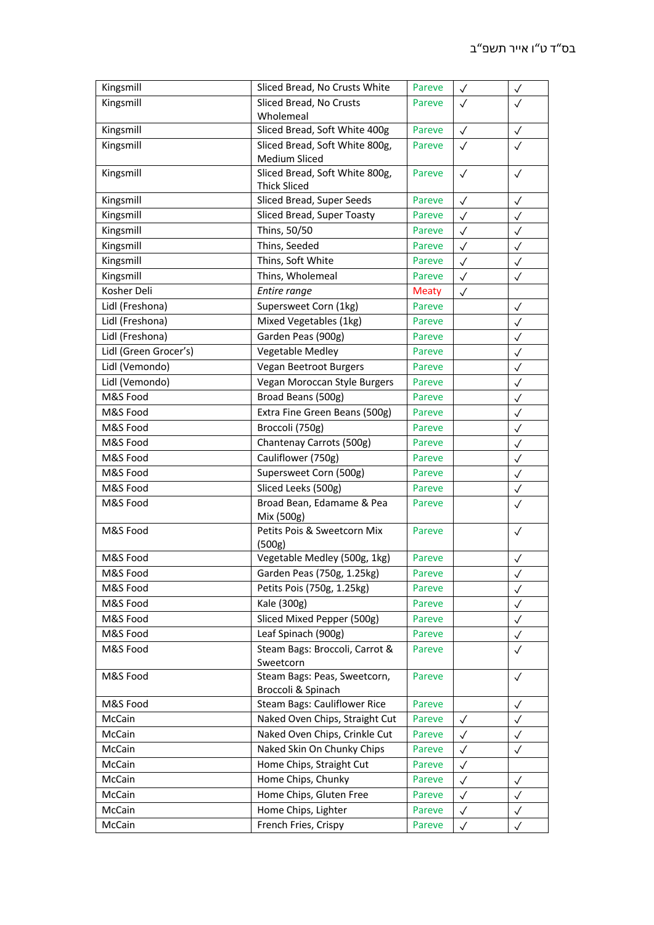| Kingsmill             | Sliced Bread, No Crusts White                         | Pareve       | $\checkmark$ | $\checkmark$ |
|-----------------------|-------------------------------------------------------|--------------|--------------|--------------|
| Kingsmill             | Sliced Bread, No Crusts                               | Pareve       | $\checkmark$ | $\checkmark$ |
|                       | Wholemeal                                             |              |              |              |
| Kingsmill             | Sliced Bread, Soft White 400g                         | Pareve       | $\checkmark$ | $\checkmark$ |
| Kingsmill             | Sliced Bread, Soft White 800g,<br>Medium Sliced       | Pareve       | $\checkmark$ | $\checkmark$ |
| Kingsmill             | Sliced Bread, Soft White 800g,<br><b>Thick Sliced</b> | Pareve       | $\checkmark$ | $\checkmark$ |
| Kingsmill             | Sliced Bread, Super Seeds                             | Pareve       | $\checkmark$ | $\checkmark$ |
| Kingsmill             | Sliced Bread, Super Toasty                            | Pareve       | $\checkmark$ | $\checkmark$ |
| Kingsmill             | Thins, 50/50                                          | Pareve       | $\checkmark$ | $\checkmark$ |
| Kingsmill             | Thins, Seeded                                         | Pareve       | $\checkmark$ | $\checkmark$ |
| Kingsmill             | Thins, Soft White                                     | Pareve       | $\checkmark$ | $\checkmark$ |
| Kingsmill             | Thins, Wholemeal                                      | Pareve       | $\checkmark$ | $\checkmark$ |
| Kosher Deli           | Entire range                                          | <b>Meaty</b> | $\checkmark$ |              |
| Lidl (Freshona)       | Supersweet Corn (1kg)                                 | Pareve       |              | $\checkmark$ |
| Lidl (Freshona)       | Mixed Vegetables (1kg)                                | Pareve       |              | $\checkmark$ |
| Lidl (Freshona)       | Garden Peas (900g)                                    | Pareve       |              | $\checkmark$ |
| Lidl (Green Grocer's) | <b>Vegetable Medley</b>                               | Pareve       |              | $\checkmark$ |
| Lidl (Vemondo)        | Vegan Beetroot Burgers                                | Pareve       |              | $\checkmark$ |
| Lidl (Vemondo)        | Vegan Moroccan Style Burgers                          | Pareve       |              | $\checkmark$ |
| M&S Food              | Broad Beans (500g)                                    | Pareve       |              | $\checkmark$ |
| M&S Food              | Extra Fine Green Beans (500g)                         | Pareve       |              | $\checkmark$ |
| M&S Food              | Broccoli (750g)                                       | Pareve       |              | $\checkmark$ |
| M&S Food              | Chantenay Carrots (500g)                              | Pareve       |              | $\checkmark$ |
| M&S Food              | Cauliflower (750g)                                    | Pareve       |              | $\checkmark$ |
| M&S Food              | Supersweet Corn (500g)                                | Pareve       |              | $\checkmark$ |
| M&S Food              | Sliced Leeks (500g)                                   | Pareve       |              | $\checkmark$ |
| M&S Food              | Broad Bean, Edamame & Pea                             | Pareve       |              | ✓            |
|                       | Mix (500g)                                            |              |              |              |
| M&S Food              | Petits Pois & Sweetcorn Mix<br>(500g)                 | Pareve       |              | $\checkmark$ |
| M&S Food              | Vegetable Medley (500g, 1kg)                          | Pareve       |              | $\checkmark$ |
| M&S Food              | Garden Peas (750g, 1.25kg)                            | Pareve       |              | $\checkmark$ |
| M&S Food              | Petits Pois (750g, 1.25kg)                            | Pareve       |              | $\checkmark$ |
| M&S Food              | Kale (300g)                                           | Pareve       |              | $\checkmark$ |
| M&S Food              | Sliced Mixed Pepper (500g)                            | Pareve       |              | $\checkmark$ |
| M&S Food              | Leaf Spinach (900g)                                   | Pareve       |              | $\checkmark$ |
| M&S Food              | Steam Bags: Broccoli, Carrot &<br>Sweetcorn           | Pareve       |              | $\checkmark$ |
| M&S Food              | Steam Bags: Peas, Sweetcorn,<br>Broccoli & Spinach    | Pareve       |              | $\checkmark$ |
| M&S Food              | Steam Bags: Cauliflower Rice                          | Pareve       |              | $\checkmark$ |
| McCain                | Naked Oven Chips, Straight Cut                        | Pareve       | $\checkmark$ | $\checkmark$ |
| McCain                | Naked Oven Chips, Crinkle Cut                         | Pareve       | $\checkmark$ | ✓            |
| McCain                | Naked Skin On Chunky Chips                            | Pareve       | $\checkmark$ | $\checkmark$ |
| McCain                | Home Chips, Straight Cut                              | Pareve       | $\checkmark$ |              |
| McCain                | Home Chips, Chunky                                    | Pareve       | $\checkmark$ | $\checkmark$ |
| McCain                | Home Chips, Gluten Free                               | Pareve       | $\checkmark$ | $\checkmark$ |
| McCain                | Home Chips, Lighter                                   | Pareve       | $\checkmark$ | $\checkmark$ |
| McCain                | French Fries, Crispy                                  | Pareve       | $\checkmark$ | $\checkmark$ |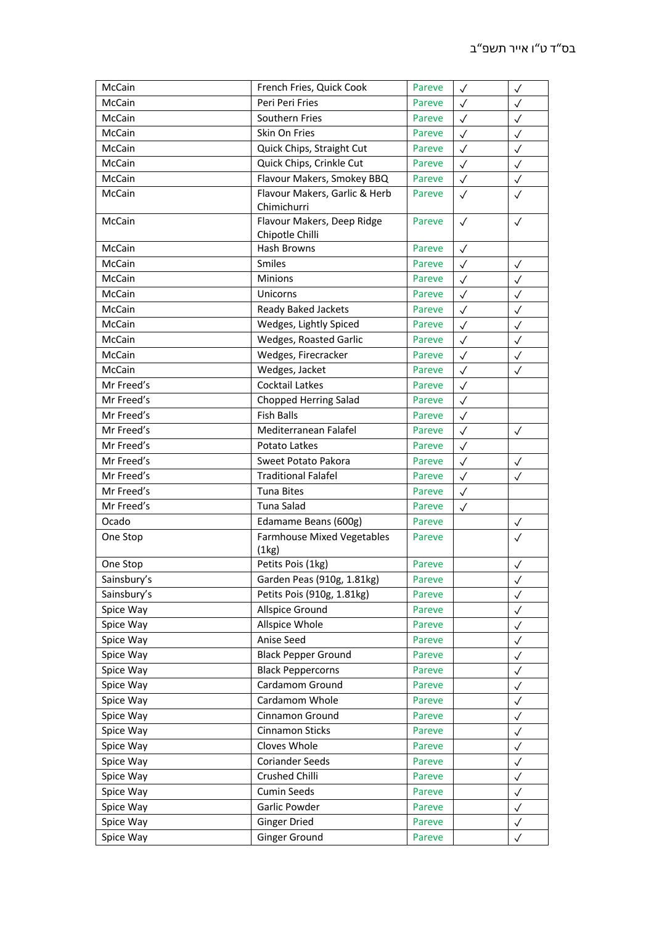| McCain      | French Fries, Quick Cook                   | Pareve | $\checkmark$ | $\checkmark$ |
|-------------|--------------------------------------------|--------|--------------|--------------|
| McCain      | Peri Peri Fries                            | Pareve | $\checkmark$ | $\checkmark$ |
| McCain      | Southern Fries                             | Pareve | $\checkmark$ | $\checkmark$ |
| McCain      | Skin On Fries                              | Pareve | $\checkmark$ | $\checkmark$ |
| McCain      | Quick Chips, Straight Cut                  | Pareve | $\checkmark$ | $\checkmark$ |
| McCain      | Quick Chips, Crinkle Cut                   | Pareve | $\checkmark$ | $\checkmark$ |
| McCain      | Flavour Makers, Smokey BBQ                 | Pareve | $\checkmark$ | $\checkmark$ |
| McCain      | Flavour Makers, Garlic & Herb              | Pareve | $\checkmark$ | $\checkmark$ |
|             | Chimichurri                                |        |              |              |
| McCain      | Flavour Makers, Deep Ridge                 | Pareve | $\checkmark$ | $\checkmark$ |
|             | Chipotle Chilli                            |        |              |              |
| McCain      | Hash Browns                                | Pareve | $\checkmark$ |              |
| McCain      | Smiles                                     | Pareve | $\checkmark$ | $\checkmark$ |
| McCain      | <b>Minions</b>                             | Pareve | $\checkmark$ | $\checkmark$ |
| McCain      | Unicorns                                   | Pareve | $\checkmark$ | $\checkmark$ |
| McCain      | Ready Baked Jackets                        | Pareve | $\checkmark$ | $\checkmark$ |
| McCain      | Wedges, Lightly Spiced                     | Pareve | $\checkmark$ | $\checkmark$ |
| McCain      | Wedges, Roasted Garlic                     | Pareve | $\checkmark$ | $\checkmark$ |
| McCain      | Wedges, Firecracker                        | Pareve | $\checkmark$ | $\checkmark$ |
| McCain      | Wedges, Jacket                             | Pareve | $\checkmark$ | $\checkmark$ |
| Mr Freed's  | Cocktail Latkes                            | Pareve | $\checkmark$ |              |
| Mr Freed's  | <b>Chopped Herring Salad</b>               | Pareve | $\checkmark$ |              |
| Mr Freed's  | <b>Fish Balls</b>                          | Pareve | $\checkmark$ |              |
| Mr Freed's  | Mediterranean Falafel                      | Pareve | $\checkmark$ | $\checkmark$ |
| Mr Freed's  | Potato Latkes                              | Pareve | $\checkmark$ |              |
| Mr Freed's  | Sweet Potato Pakora                        | Pareve | $\checkmark$ | $\checkmark$ |
| Mr Freed's  | <b>Traditional Falafel</b>                 | Pareve | $\checkmark$ | $\checkmark$ |
| Mr Freed's  | <b>Tuna Bites</b>                          | Pareve | $\checkmark$ |              |
| Mr Freed's  | Tuna Salad                                 | Pareve | $\checkmark$ |              |
| Ocado       | Edamame Beans (600g)                       | Pareve |              | $\checkmark$ |
| One Stop    | <b>Farmhouse Mixed Vegetables</b><br>(1kg) | Pareve |              | $\checkmark$ |
| One Stop    | Petits Pois (1kg)                          | Pareve |              | $\checkmark$ |
| Sainsbury's | Garden Peas (910g, 1.81kg)                 | Pareve |              | $\checkmark$ |
| Sainsbury's | Petits Pois (910g, 1.81kg)                 | Pareve |              | $\checkmark$ |
| Spice Way   | Allspice Ground                            | Pareve |              | $\checkmark$ |
| Spice Way   | Allspice Whole                             | Pareve |              | $\checkmark$ |
| Spice Way   | Anise Seed                                 | Pareve |              | $\checkmark$ |
| Spice Way   | <b>Black Pepper Ground</b>                 | Pareve |              | $\checkmark$ |
| Spice Way   | <b>Black Peppercorns</b>                   | Pareve |              | $\checkmark$ |
| Spice Way   | Cardamom Ground                            | Pareve |              | $\checkmark$ |
| Spice Way   | Cardamom Whole                             | Pareve |              | $\checkmark$ |
| Spice Way   | Cinnamon Ground                            | Pareve |              | $\checkmark$ |
| Spice Way   | Cinnamon Sticks                            | Pareve |              | $\checkmark$ |
| Spice Way   | Cloves Whole                               | Pareve |              | $\checkmark$ |
| Spice Way   | <b>Coriander Seeds</b>                     | Pareve |              | $\checkmark$ |
| Spice Way   | Crushed Chilli                             | Pareve |              | $\checkmark$ |
| Spice Way   | <b>Cumin Seeds</b>                         | Pareve |              | $\checkmark$ |
| Spice Way   | Garlic Powder                              | Pareve |              | $\checkmark$ |
| Spice Way   | <b>Ginger Dried</b>                        | Pareve |              | $\checkmark$ |
| Spice Way   | Ginger Ground                              | Pareve |              | $\checkmark$ |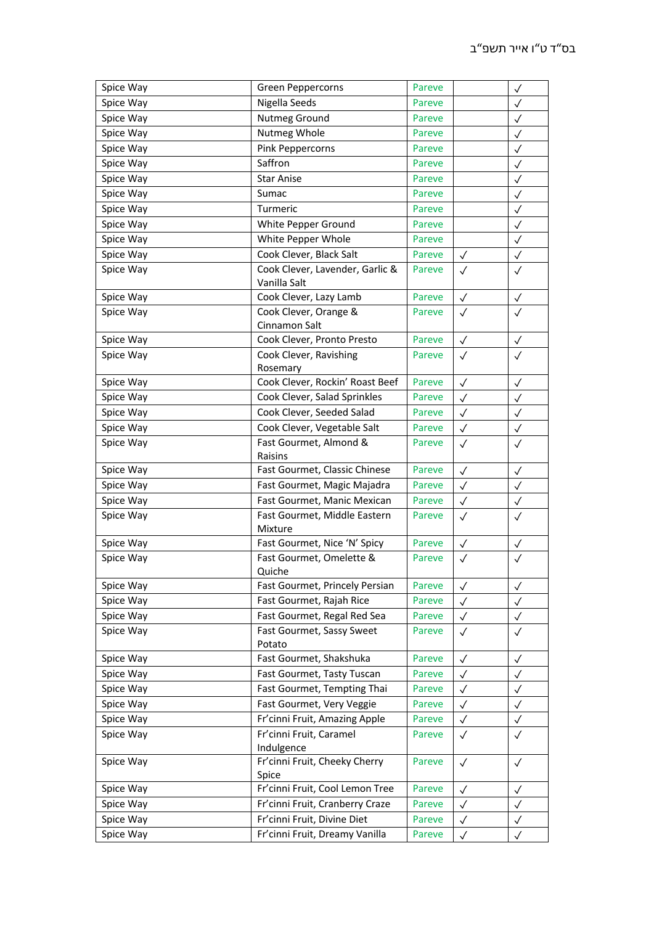| Spice Way | Green Peppercorns                        | Pareve |              | $\checkmark$ |
|-----------|------------------------------------------|--------|--------------|--------------|
| Spice Way | Nigella Seeds                            | Pareve |              | $\checkmark$ |
| Spice Way | Nutmeg Ground                            | Pareve |              | $\checkmark$ |
| Spice Way | Nutmeg Whole                             | Pareve |              | $\checkmark$ |
| Spice Way | Pink Peppercorns                         | Pareve |              | $\checkmark$ |
| Spice Way | Saffron                                  | Pareve |              | $\checkmark$ |
| Spice Way | <b>Star Anise</b>                        | Pareve |              | $\checkmark$ |
| Spice Way | Sumac                                    | Pareve |              | $\checkmark$ |
| Spice Way | Turmeric                                 | Pareve |              | $\checkmark$ |
| Spice Way | White Pepper Ground                      | Pareve |              | $\checkmark$ |
| Spice Way | White Pepper Whole                       | Pareve |              | $\checkmark$ |
| Spice Way | Cook Clever, Black Salt                  | Pareve | $\checkmark$ | $\checkmark$ |
| Spice Way | Cook Clever, Lavender, Garlic &          | Pareve | $\checkmark$ | $\checkmark$ |
|           | Vanilla Salt                             |        |              |              |
| Spice Way | Cook Clever, Lazy Lamb                   | Pareve | $\checkmark$ | $\checkmark$ |
| Spice Way | Cook Clever, Orange &                    | Pareve | $\checkmark$ | $\checkmark$ |
|           | Cinnamon Salt                            |        |              |              |
| Spice Way | Cook Clever, Pronto Presto               | Pareve | $\checkmark$ | $\checkmark$ |
| Spice Way | Cook Clever, Ravishing                   | Pareve | $\checkmark$ | $\checkmark$ |
|           | Rosemary                                 |        |              |              |
| Spice Way | Cook Clever, Rockin' Roast Beef          | Pareve | $\checkmark$ | $\checkmark$ |
| Spice Way | Cook Clever, Salad Sprinkles             | Pareve | $\checkmark$ | $\checkmark$ |
| Spice Way | Cook Clever, Seeded Salad                | Pareve | $\checkmark$ | $\checkmark$ |
| Spice Way | Cook Clever, Vegetable Salt              | Pareve | $\checkmark$ | $\checkmark$ |
| Spice Way | Fast Gourmet, Almond &                   | Pareve | $\checkmark$ | $\checkmark$ |
|           | Raisins                                  |        |              |              |
| Spice Way | Fast Gourmet, Classic Chinese            | Pareve | $\checkmark$ | $\checkmark$ |
| Spice Way | Fast Gourmet, Magic Majadra              | Pareve | $\checkmark$ | $\checkmark$ |
| Spice Way | Fast Gourmet, Manic Mexican              | Pareve | $\checkmark$ | $\checkmark$ |
| Spice Way | Fast Gourmet, Middle Eastern             | Pareve | $\checkmark$ | $\checkmark$ |
|           | Mixture                                  |        |              |              |
| Spice Way | Fast Gourmet, Nice 'N' Spicy             | Pareve | $\checkmark$ | $\checkmark$ |
| Spice Way | Fast Gourmet, Omelette &                 | Pareve | $\checkmark$ | $\checkmark$ |
|           | Quiche                                   |        |              |              |
| Spice Way | Fast Gourmet, Princely Persian           | Pareve | $\checkmark$ | $\checkmark$ |
| Spice Way | Fast Gourmet, Rajah Rice                 | Pareve | $\checkmark$ | $\checkmark$ |
| Spice Way | Fast Gourmet, Regal Red Sea              | Pareve | $\checkmark$ | $\checkmark$ |
| Spice Way | Fast Gourmet, Sassy Sweet                | Pareve | $\checkmark$ | $\checkmark$ |
|           | Potato                                   |        |              |              |
| Spice Way | Fast Gourmet, Shakshuka                  | Pareve | $\checkmark$ | $\checkmark$ |
| Spice Way | Fast Gourmet, Tasty Tuscan               | Pareve | $\checkmark$ | $\checkmark$ |
| Spice Way | Fast Gourmet, Tempting Thai              | Pareve | $\checkmark$ | $\checkmark$ |
| Spice Way | Fast Gourmet, Very Veggie                | Pareve | $\checkmark$ | $\checkmark$ |
| Spice Way | Fr'cinni Fruit, Amazing Apple            | Pareve | $\checkmark$ | $\checkmark$ |
| Spice Way | Fr'cinni Fruit, Caramel                  | Pareve | $\checkmark$ | $\checkmark$ |
|           | Indulgence                               |        |              |              |
| Spice Way | Fr'cinni Fruit, Cheeky Cherry            | Pareve | $\checkmark$ | $\checkmark$ |
|           | Spice<br>Fr'cinni Fruit, Cool Lemon Tree |        |              |              |
| Spice Way |                                          | Pareve | $\checkmark$ | $\checkmark$ |
| Spice Way | Fr'cinni Fruit, Cranberry Craze          | Pareve | $\checkmark$ | $\checkmark$ |
| Spice Way | Fr'cinni Fruit, Divine Diet              | Pareve | $\checkmark$ | $\checkmark$ |
| Spice Way | Fr'cinni Fruit, Dreamy Vanilla           | Pareve | $\checkmark$ | $\checkmark$ |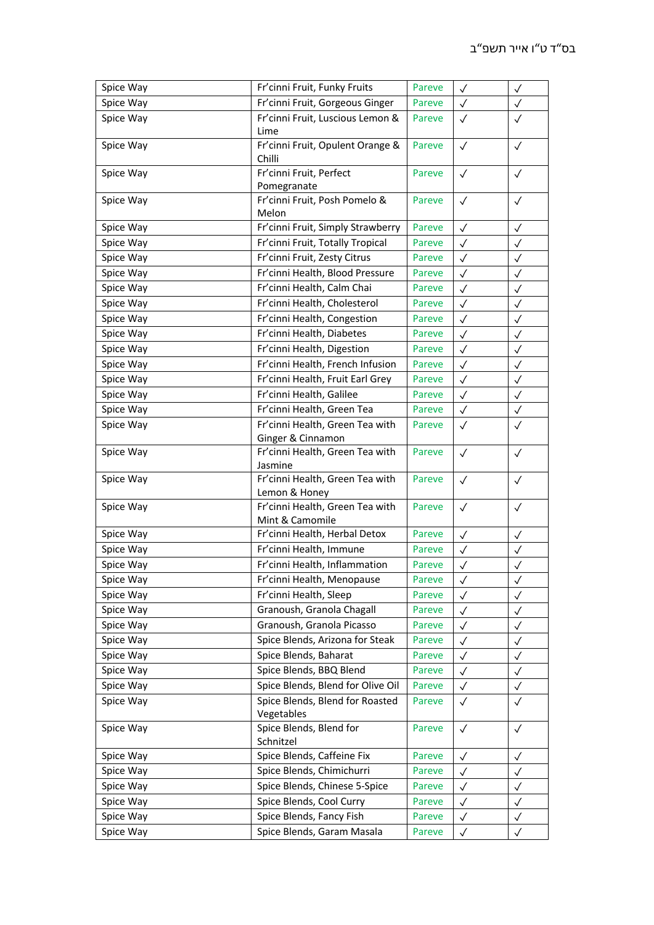| Spice Way | Fr'cinni Fruit, Funky Fruits                 | Pareve | $\checkmark$ | $\checkmark$ |
|-----------|----------------------------------------------|--------|--------------|--------------|
| Spice Way | Fr'cinni Fruit, Gorgeous Ginger              | Pareve | $\checkmark$ | $\checkmark$ |
| Spice Way | Fr'cinni Fruit, Luscious Lemon &             | Pareve | $\checkmark$ | $\checkmark$ |
|           | Lime                                         |        |              |              |
| Spice Way | Fr'cinni Fruit, Opulent Orange &             | Pareve | $\checkmark$ | $\checkmark$ |
|           | Chilli                                       |        |              |              |
| Spice Way | Fr'cinni Fruit, Perfect                      | Pareve | $\checkmark$ | $\checkmark$ |
| Spice Way | Pomegranate<br>Fr'cinni Fruit, Posh Pomelo & | Pareve |              |              |
|           | Melon                                        |        | $\checkmark$ | $\checkmark$ |
| Spice Way | Fr'cinni Fruit, Simply Strawberry            | Pareve | $\checkmark$ | $\checkmark$ |
| Spice Way | Fr'cinni Fruit, Totally Tropical             | Pareve | $\checkmark$ | $\checkmark$ |
| Spice Way | Fr'cinni Fruit, Zesty Citrus                 | Pareve | $\checkmark$ | $\checkmark$ |
| Spice Way | Fr'cinni Health, Blood Pressure              | Pareve | $\checkmark$ | ✓            |
| Spice Way | Fr'cinni Health, Calm Chai                   | Pareve | $\checkmark$ | $\checkmark$ |
| Spice Way | Fr'cinni Health, Cholesterol                 | Pareve | $\checkmark$ | $\checkmark$ |
| Spice Way | Fr'cinni Health, Congestion                  | Pareve | $\checkmark$ | $\checkmark$ |
| Spice Way | Fr'cinni Health, Diabetes                    | Pareve | $\checkmark$ | $\checkmark$ |
| Spice Way | Fr'cinni Health, Digestion                   | Pareve | $\checkmark$ | $\checkmark$ |
| Spice Way | Fr'cinni Health, French Infusion             | Pareve | $\checkmark$ | $\checkmark$ |
| Spice Way | Fr'cinni Health, Fruit Earl Grey             | Pareve | $\checkmark$ | $\checkmark$ |
| Spice Way | Fr'cinni Health, Galilee                     | Pareve | $\checkmark$ | $\checkmark$ |
| Spice Way | Fr'cinni Health, Green Tea                   | Pareve | $\checkmark$ | $\checkmark$ |
| Spice Way | Fr'cinni Health, Green Tea with              | Pareve | $\checkmark$ | $\checkmark$ |
|           | Ginger & Cinnamon                            |        |              |              |
| Spice Way | Fr'cinni Health, Green Tea with              | Pareve | $\checkmark$ | $\checkmark$ |
|           | Jasmine                                      |        |              |              |
| Spice Way | Fr'cinni Health, Green Tea with              | Pareve | $\checkmark$ | $\checkmark$ |
|           | Lemon & Honey                                |        |              |              |
| Spice Way | Fr'cinni Health, Green Tea with              | Pareve | $\checkmark$ | $\checkmark$ |
|           | Mint & Camomile                              |        |              |              |
| Spice Way | Fr'cinni Health, Herbal Detox                | Pareve | $\checkmark$ | $\checkmark$ |
| Spice Way | Fr'cinni Health, Immune                      | Pareve | $\checkmark$ | $\checkmark$ |
| Spice Way | Fr'cinni Health, Inflammation                | Pareve | $\checkmark$ | $\checkmark$ |
| Spice Way | Fr'cinni Health, Menopause                   | Pareve | $\checkmark$ | $\checkmark$ |
| Spice Way | Fr'cinni Health, Sleep                       | Pareve | $\checkmark$ | $\checkmark$ |
| Spice Way | Granoush, Granola Chagall                    | Pareve | $\checkmark$ | $\checkmark$ |
| Spice Way | Granoush, Granola Picasso                    | Pareve | $\checkmark$ | $\checkmark$ |
| Spice Way | Spice Blends, Arizona for Steak              | Pareve | $\checkmark$ | $\checkmark$ |
| Spice Way | Spice Blends, Baharat                        | Pareve | $\checkmark$ | ✓            |
| Spice Way | Spice Blends, BBQ Blend                      | Pareve | $\checkmark$ | $\checkmark$ |
| Spice Way | Spice Blends, Blend for Olive Oil            | Pareve | $\checkmark$ | $\checkmark$ |
| Spice Way | Spice Blends, Blend for Roasted              | Pareve | $\checkmark$ | $\checkmark$ |
| Spice Way | Vegetables<br>Spice Blends, Blend for        |        |              |              |
|           | Schnitzel                                    | Pareve | $\checkmark$ | $\checkmark$ |
| Spice Way | Spice Blends, Caffeine Fix                   | Pareve | $\checkmark$ | $\checkmark$ |
| Spice Way | Spice Blends, Chimichurri                    | Pareve | $\checkmark$ | $\checkmark$ |
| Spice Way | Spice Blends, Chinese 5-Spice                | Pareve | $\checkmark$ | $\checkmark$ |
| Spice Way | Spice Blends, Cool Curry                     | Pareve | $\checkmark$ | $\checkmark$ |
| Spice Way | Spice Blends, Fancy Fish                     | Pareve | $\checkmark$ | $\checkmark$ |
| Spice Way | Spice Blends, Garam Masala                   | Pareve | $\checkmark$ | $\checkmark$ |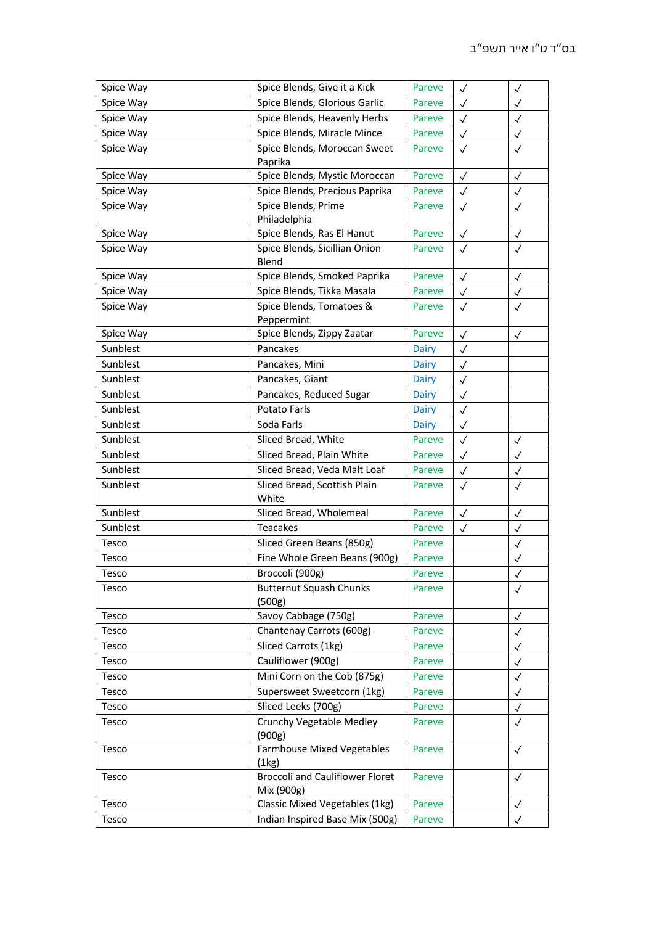| Spice Way             | Spice Blends, Give it a Kick             | Pareve           | $\checkmark$ | $\checkmark$      |
|-----------------------|------------------------------------------|------------------|--------------|-------------------|
| Spice Way             | Spice Blends, Glorious Garlic            | Pareve           | $\checkmark$ | $\checkmark$      |
| Spice Way             | Spice Blends, Heavenly Herbs             | Pareve           | $\checkmark$ | $\checkmark$      |
| Spice Way             | Spice Blends, Miracle Mince              | Pareve           | $\checkmark$ | $\checkmark$      |
| Spice Way             | Spice Blends, Moroccan Sweet             | Pareve           | $\checkmark$ | $\checkmark$      |
|                       | Paprika                                  |                  |              |                   |
| Spice Way             | Spice Blends, Mystic Moroccan            | Pareve           | $\checkmark$ | $\checkmark$      |
| Spice Way             | Spice Blends, Precious Paprika           | Pareve           | $\checkmark$ | $\checkmark$      |
| Spice Way             | Spice Blends, Prime                      | Pareve           | $\checkmark$ | $\checkmark$      |
|                       | Philadelphia                             |                  |              |                   |
| Spice Way             | Spice Blends, Ras El Hanut               | Pareve           | $\checkmark$ | $\checkmark$      |
| Spice Way             | Spice Blends, Sicillian Onion            | Pareve           | $\checkmark$ | $\checkmark$      |
|                       | Blend                                    |                  |              |                   |
| Spice Way             | Spice Blends, Smoked Paprika             | Pareve           | $\checkmark$ | $\checkmark$      |
| Spice Way             | Spice Blends, Tikka Masala               | Pareve           | $\checkmark$ | $\checkmark$      |
| Spice Way             | Spice Blends, Tomatoes &                 | Pareve           | $\checkmark$ | $\checkmark$      |
|                       | Peppermint                               |                  |              |                   |
| Spice Way<br>Sunblest | Spice Blends, Zippy Zaatar               | Pareve           | $\checkmark$ | $\checkmark$      |
|                       | Pancakes                                 | Dairy            | $\checkmark$ |                   |
| Sunblest              | Pancakes, Mini                           | Dairy            | $\checkmark$ |                   |
| Sunblest              | Pancakes, Giant                          | Dairy            | $\checkmark$ |                   |
| Sunblest              | Pancakes, Reduced Sugar                  | Dairy            | $\checkmark$ |                   |
| Sunblest              | Potato Farls                             | <b>Dairy</b>     | $\checkmark$ |                   |
| Sunblest              | Soda Farls                               | Dairy            | $\checkmark$ |                   |
| Sunblest              | Sliced Bread, White                      | Pareve           | $\checkmark$ | $\checkmark$      |
| Sunblest              | Sliced Bread, Plain White                | Pareve           | $\checkmark$ | $\checkmark$      |
| Sunblest              | Sliced Bread, Veda Malt Loaf             | Pareve           | $\checkmark$ | $\checkmark$      |
| Sunblest              | Sliced Bread, Scottish Plain             | Pareve           | $\checkmark$ | $\checkmark$      |
|                       | White                                    |                  |              |                   |
| Sunblest              | Sliced Bread, Wholemeal                  | Pareve           | $\checkmark$ | $\checkmark$      |
| Sunblest              | <b>Teacakes</b>                          | Pareve           | $\checkmark$ | $\checkmark$      |
| Tesco                 | Sliced Green Beans (850g)                | Pareve           |              | $\checkmark$      |
| Tesco                 | Fine Whole Green Beans (900g)            | Pareve           |              | $\checkmark$      |
| Tesco                 | Broccoli (900g)                          | Pareve           |              | ✓                 |
| Tesco                 | <b>Butternut Squash Chunks</b><br>(500g) | Pareve           |              | $\checkmark$      |
| Tesco                 | Savoy Cabbage (750g)                     | Pareve           |              | $\checkmark$      |
| Tesco                 | Chantenay Carrots (600g)                 | Pareve           |              | $\checkmark$      |
| Tesco                 | Sliced Carrots (1kg)                     | Pareve           |              |                   |
| Tesco                 | Cauliflower (900g)                       | Pareve           |              | $\checkmark$      |
| Tesco                 | Mini Corn on the Cob (875g)              | Pareve           |              | ✓<br>$\checkmark$ |
|                       | Supersweet Sweetcorn (1kg)               |                  |              |                   |
| Tesco                 | Sliced Leeks (700g)                      | Pareve<br>Pareve |              | $\checkmark$      |
| Tesco                 |                                          |                  |              | $\checkmark$      |
| Tesco                 | Crunchy Vegetable Medley<br>(900g)       | Pareve           |              | $\checkmark$      |
| Tesco                 | <b>Farmhouse Mixed Vegetables</b>        | Pareve           |              | $\checkmark$      |
|                       | (1kg)                                    |                  |              |                   |
| Tesco                 | <b>Broccoli and Cauliflower Floret</b>   | Pareve           |              | $\checkmark$      |
|                       | Mix (900g)                               |                  |              |                   |
| Tesco                 | Classic Mixed Vegetables (1kg)           | Pareve           |              | $\checkmark$      |
| Tesco                 | Indian Inspired Base Mix (500g)          | Pareve           |              |                   |